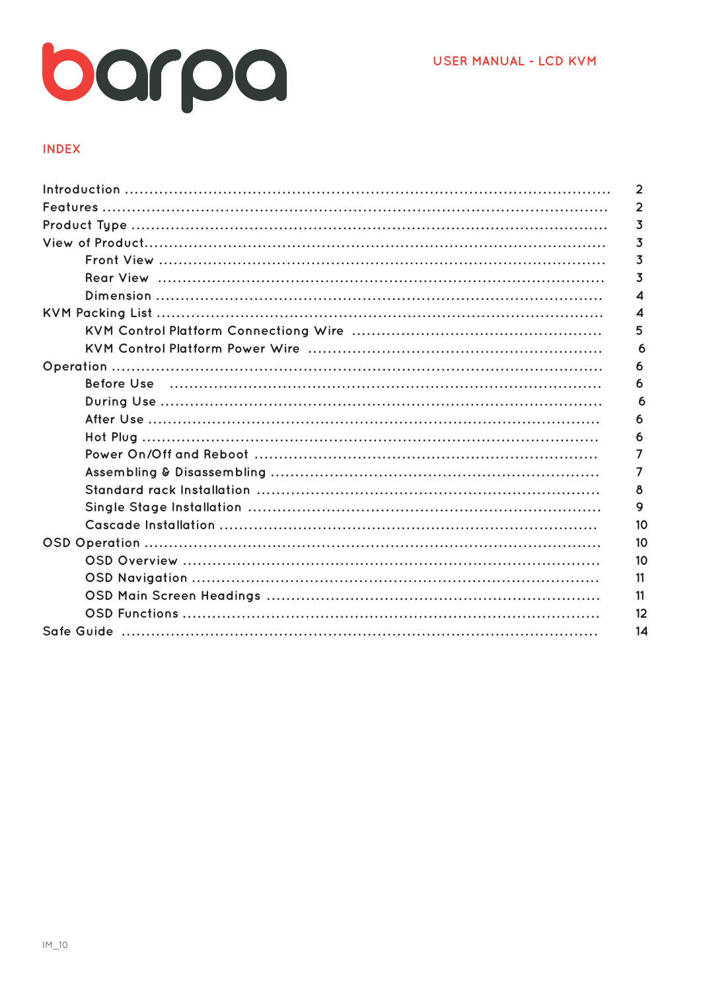

## **INDEX**

| $\mathbf{2}$ |
|--------------|
| 2            |
| 3            |
| 3            |
| 3            |
| 3            |
| 4            |
| 4            |
| 5            |
| 6            |
| 6            |
| 6            |
| 6            |
| 6            |
| 6            |
|              |
|              |
| 8            |
| 9            |
| 10           |
| 10           |
| 10           |
| 11           |
| 11           |
| 12           |
| 14           |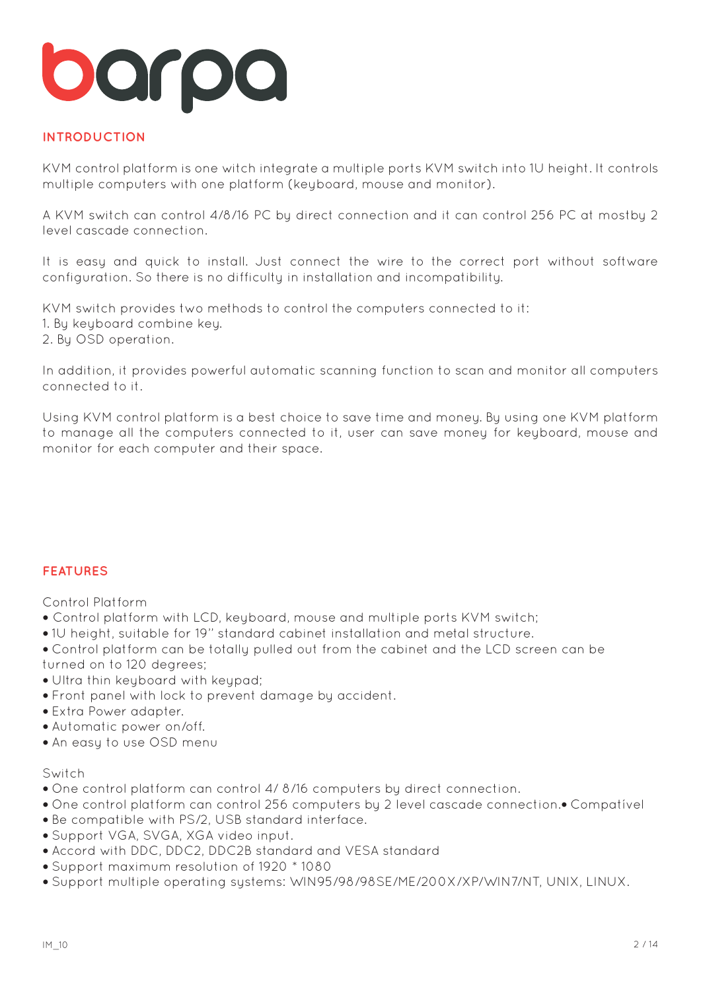## **INTRODUCTION**

KVM control platform is one witch integrate a multiple ports KVM switch into 1U height. It controls multiple computers with one platform (keyboard, mouse and monitor).

A KVM switch can control 4/8/16 PC by direct connection and it can control 256 PC at mostby 2 level cascade connection.

It is easy and quick to install. Just connect the wire to the correct port without software configuration. So there is no difficulty in installation and incompatibility.

KVM switch provides two methods to control the computers connected to it:

- 1. By keyboard combine key.
- 2. By OSD operation.

In addition, it provides powerful automatic scanning function to scan and monitor all computers connected to it.

Using KVM control platform is a best choice to save time and money. By using one KVM platform to manage all the computers connected to it, user can save money for keyboard, mouse and monitor for each computer and their space.

## **FEATURES**

Control Platform

- **•** Control platform with LCD, keyboard, mouse and multiple ports KVM switch;
- 1U height, suitable for 19'' standard cabinet installation and metal structure.
- Control platform can be totally pulled out from the cabinet and the LCD screen can be turned on to 120 degrees;
- Ultra thin keyboard with keypad;
- Front panel with lock to prevent damage by accident.
- Extra Power adapter.
- Automatic power on/off.
- An easy to use OSD menu

#### Switch

- One control platform can control 4/ 8/16 computers by direct connection.
- One control platform can control 256 computers by 2 level cascade connection.Compatível
- Be compatible with PS/2, USB standard interface.
- Support VGA, SVGA, XGA video input.
- Accord with DDC, DDC2, DDC2B standard and VESA standard
- Support maximum resolution of 1920 \* 1080
- Support multiple operating systems: WIN95/98/98SE/ME/200X/XP/WIN7/NT, UNIX, LINUX.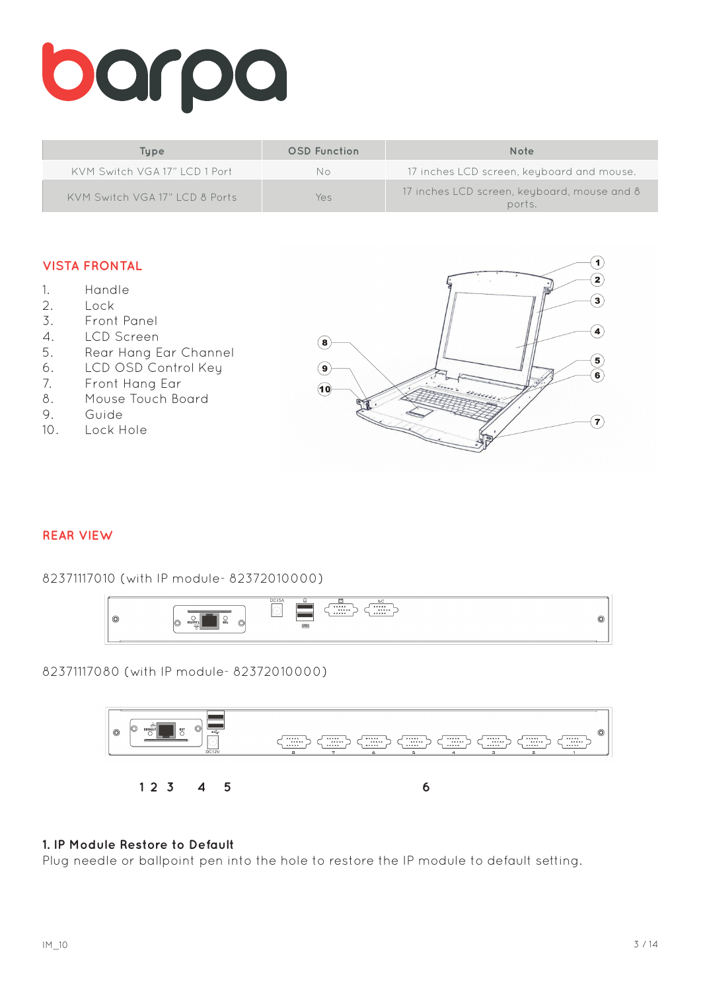# barpa

| Tupe                            | <b>OSD</b> Function | Note                                                  |
|---------------------------------|---------------------|-------------------------------------------------------|
| KVM Switch VGA 17"   CD 1 Port  | No.                 | 17 inches LCD screen, keyboard and mouse.             |
| KVM Switch VGA 17" I CD 8 Ports | Yes                 | 17 inches LCD screen, keyboard, mouse and 8<br>ports. |

## **VISTA FRONTAL**

- 1. Handle
- 2. Lock
- 3. Front Panel
- 4. LCD Screen
- 5. Rear Hang Ear Channel
- 6. LCD OSD Control Key
- 7. Front Hang Ear
- 8. Mouse Touch Board
- 9. Guide
- 10. Lock Hole



#### **REAR VIEW**

82371117010 (with IP module- 82372010000)



82371117080 (with IP module- 82372010000)



#### **1. IP Module Restore to Default**

Plug needle or ballpoint pen into the hole to restore the IP module to default setting.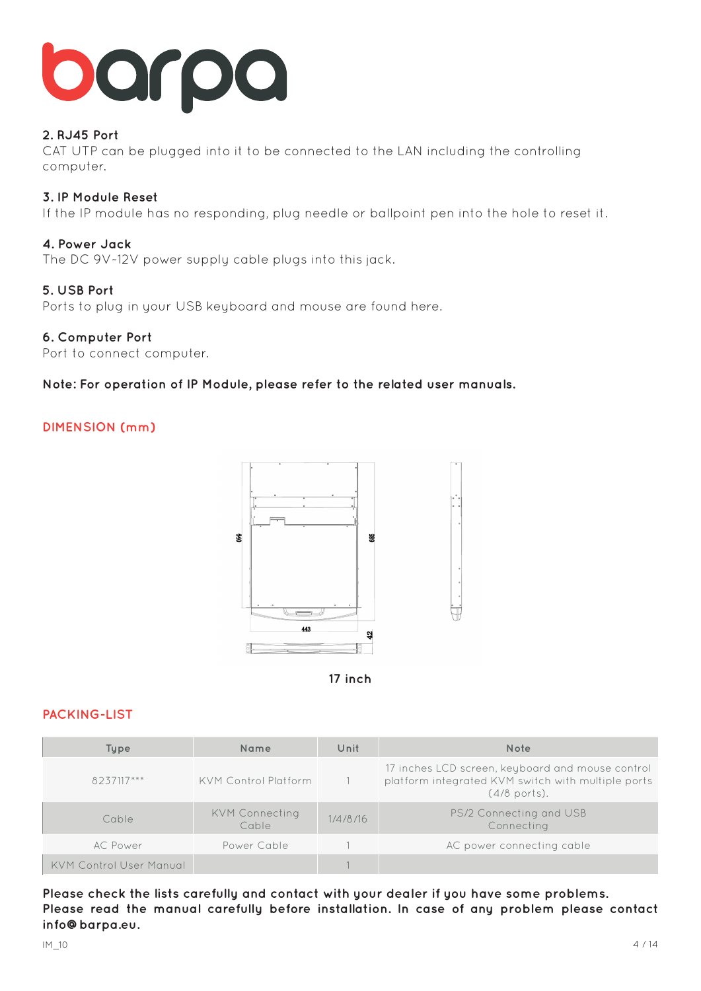

## **2. RJ45 Port**

CAT UTP can be plugged into it to be connected to the LAN including the controlling computer.

### **3. IP Module Reset**

If the IP module has no responding, plug needle or ballpoint pen into the hole to reset it.

#### **4. Power Jack**

The DC 9V~12V power supply cable plugs into this jack.

#### **5. USB Port**

Ports to plug in your USB keyboard and mouse are found here.

#### **6. Computer Port**

Port to connect computer.

#### **Note: For operation of IP Module, please refer to the related user manuals.**

## **DIMENSION (mm)**





## **PACKING-LIST**

| Type                           | Name                           | Unit     | <b>Note</b>                                                                                                              |
|--------------------------------|--------------------------------|----------|--------------------------------------------------------------------------------------------------------------------------|
| 8237117***                     | KVM Control Platform           |          | 17 inches LCD screen, keyboard and mouse control<br>platform integrated KVM switch with multiple ports<br>$(4/8$ ports). |
| Cable                          | <b>KVM Connecting</b><br>Cable | 1/4/8/16 | PS/2 Connecting and USB<br>Connecting                                                                                    |
| AC Power                       | Power Cable                    |          | AC power connecting cable                                                                                                |
| <b>KVM Control User Manual</b> |                                |          |                                                                                                                          |

**Please check the lists carefully and contact with your dealer if you have some problems. Please read the manual carefully before installation. In case of any problem please contact info@barpa.eu.**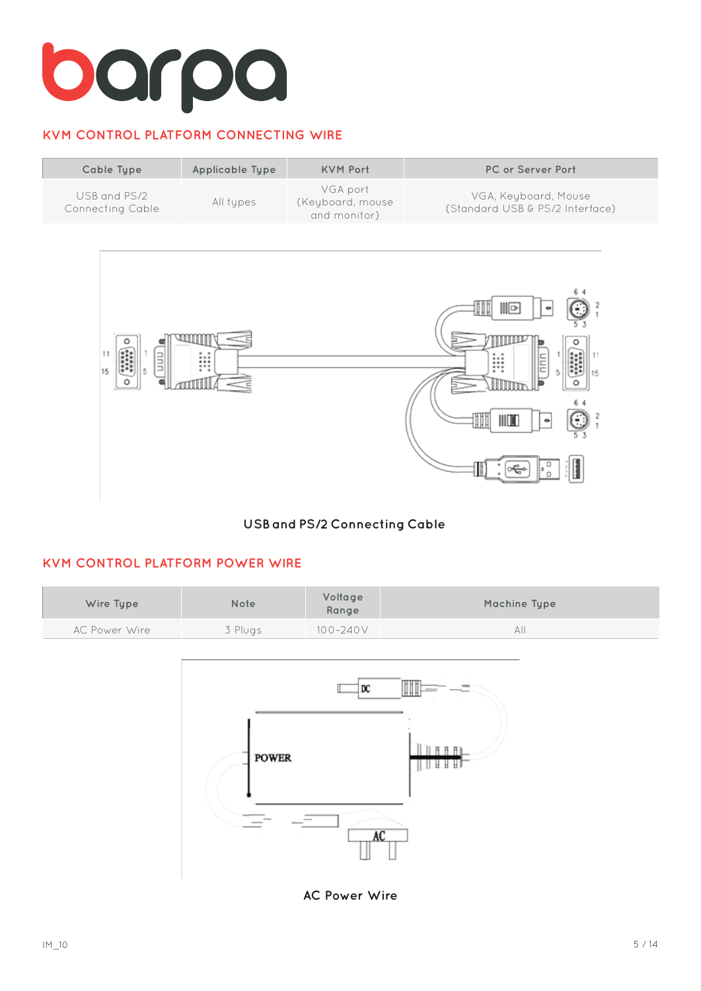# **KVM CONTROL PLATFORM CONNECTING WIRE**





## **USB and PS/2 Connecting Cable**

## **KVM CONTROL PLATFORM POWER WIRE**

| Wire Type     | Note    | Voltage<br>Range | Machine Type |
|---------------|---------|------------------|--------------|
| AC Power Wire | 3 Plugs | $100 - 240V$     | AΙΙ          |



**AC Power Wire**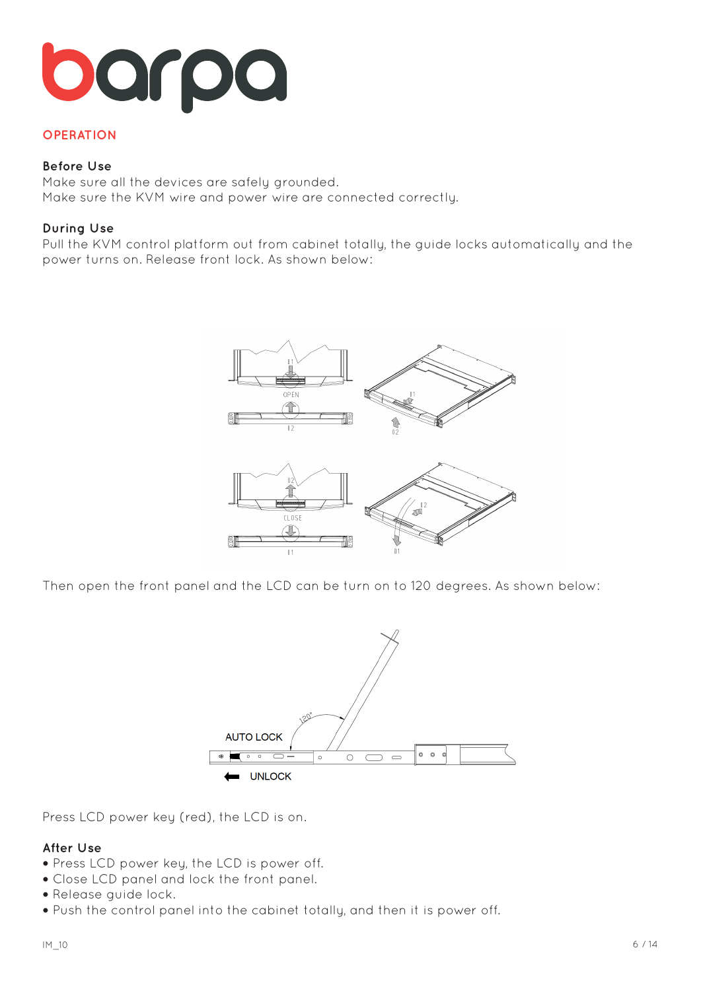# orpo

## **OPERATION**

#### **Before Use**

Make sure all the devices are safely grounded. Make sure the KVM wire and power wire are connected correctly.

### **During Use**

Pull the KVM control platform out from cabinet totally, the guide locks automatically and the power turns on. Release front lock. As shown below:



Then open the front panel and the LCD can be turn on to 120 degrees. As shown below:



Press LCD power key (red), the LCD is on.

#### **After Use**

- **•** Press LCD power key, the LCD is power off.
- **•** Close LCD panel and lock the front panel.
- **•** Release guide lock.
- **•** Push the control panel into the cabinet totally, and then it is power off.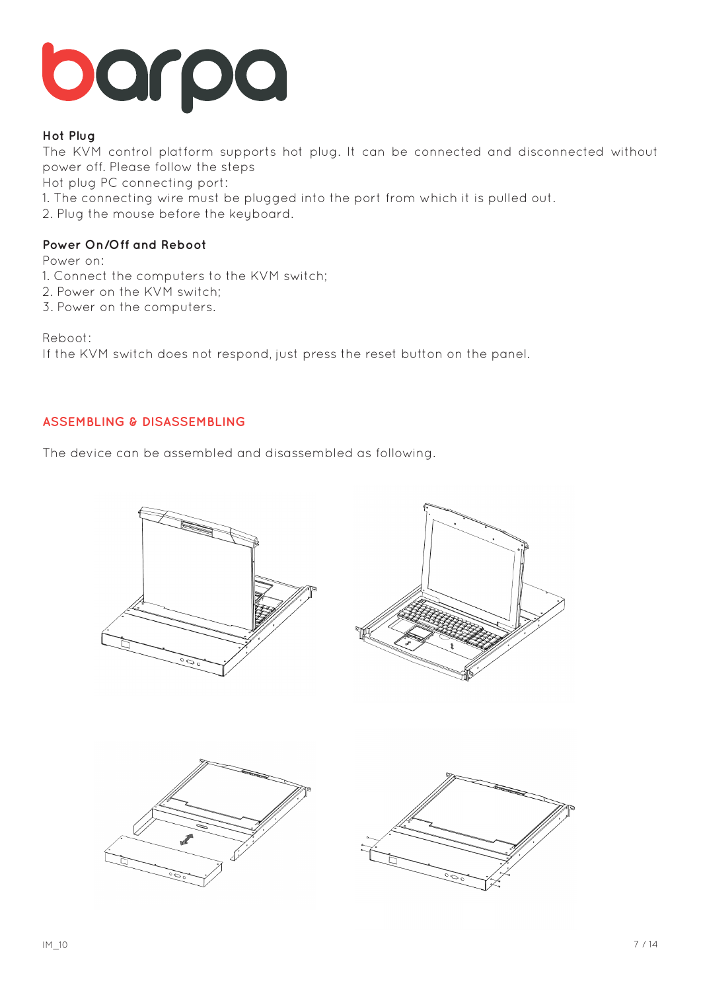

## **Hot Plug**

The KVM control platform supports hot plug. It can be connected and disconnected without power off. Please follow the steps

Hot plug PC connecting port:

1. The connecting wire must be plugged into the port from which it is pulled out.

2. Plug the mouse before the keyboard.

## **Power On/Off and Reboot**

Power on:

1. Connect the computers to the KVM switch;

- 2. Power on the KVM switch;
- 3. Power on the computers.

Reboot:

If the KVM switch does not respond, just press the reset button on the panel.

## **ASSEMBLING & DISASSEMBLING**

The device can be assembled and disassembled as following.

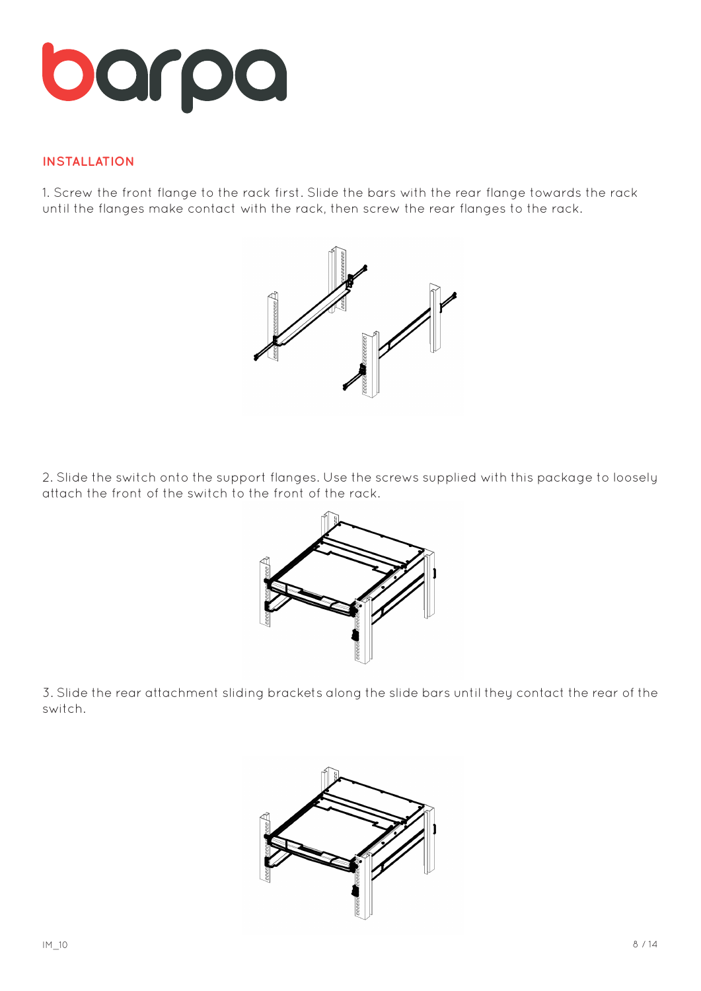

## **INSTALLATION**

1. Screw the front flange to the rack first. Slide the bars with the rear flange towards the rack until the flanges make contact with the rack, then screw the rear flanges to the rack.



2. Slide the switch onto the support flanges. Use the screws supplied with this package to loosely attach the front of the switch to the front of the rack.



3. Slide the rear attachment sliding brackets along the slide bars until they contact the rear of the switch.

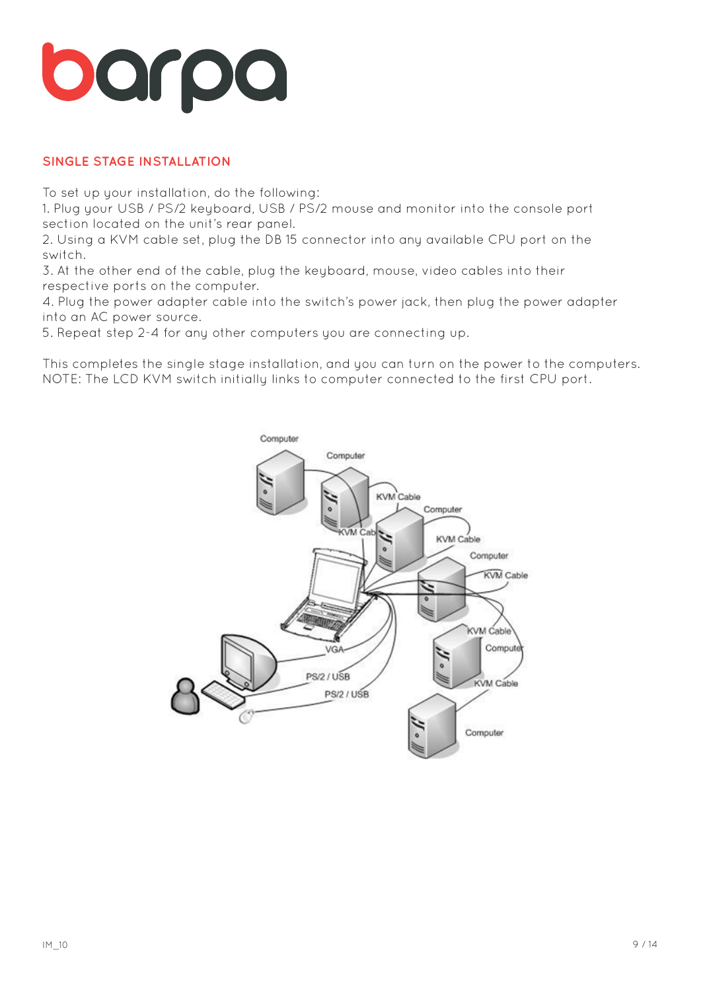# barpa

## **SINGLE STAGE INSTALLATION**

To set up your installation, do the following:

1. Plug your USB / PS/2 keyboard, USB / PS/2 mouse and monitor into the console port section located on the unit's rear panel.

2. Using a KVM cable set, plug the DB 15 connector into any available CPU port on the switch.

3. At the other end of the cable, plug the keyboard, mouse, video cables into their respective ports on the computer.

4. Plug the power adapter cable into the switch's power jack, then plug the power adapter into an AC power source.

5. Repeat step 2-4 for any other computers you are connecting up.

This completes the single stage installation, and you can turn on the power to the computers. NOTE: The LCD KVM switch initially links to computer connected to the first CPU port.

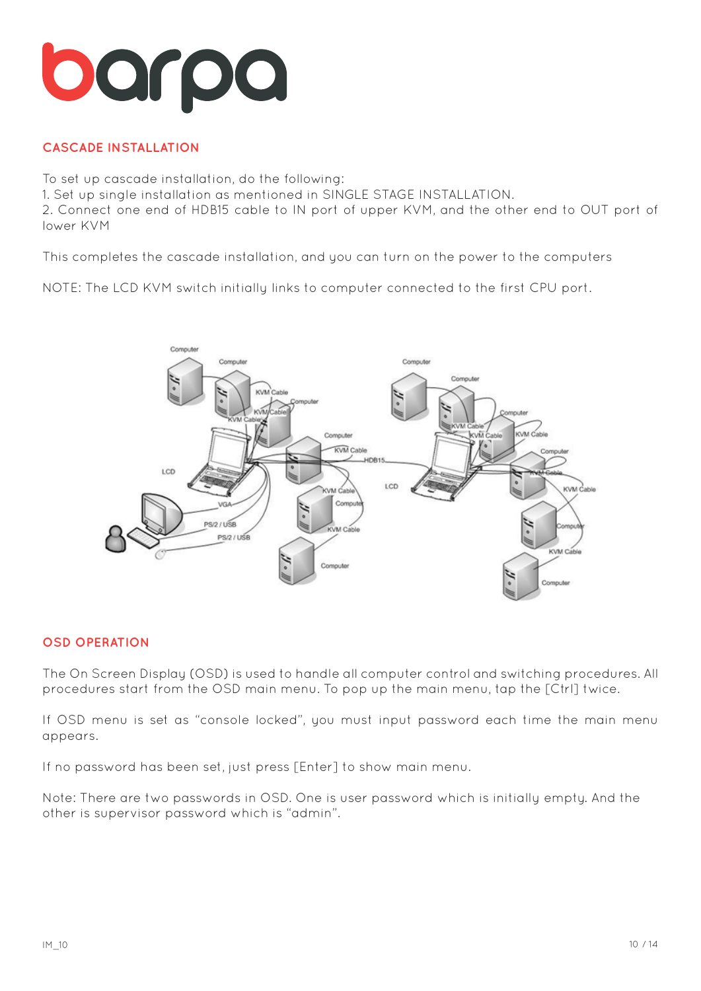

# **CASCADE INSTALLATION**

To set up cascade installation, do the following: 1. Set up single installation as mentioned in SINGLE STAGE INSTALLATION. 2. Connect one end of HDB15 cable to IN port of upper KVM, and the other end to OUT port of lower KVM

This completes the cascade installation, and you can turn on the power to the computers

NOTE: The LCD KVM switch initially links to computer connected to the first CPU port.



## **OSD OPERATION**

The On Screen Display (OSD) is used to handle all computer control and switching procedures. All procedures start from the OSD main menu. To pop up the main menu, tap the [Ctrl] twice.

If OSD menu is set as "console locked", you must input password each time the main menu appears.

If no password has been set, just press [Enter] to show main menu.

Note: There are two passwords in OSD. One is user password which is initially empty. And the other is supervisor password which is "admin".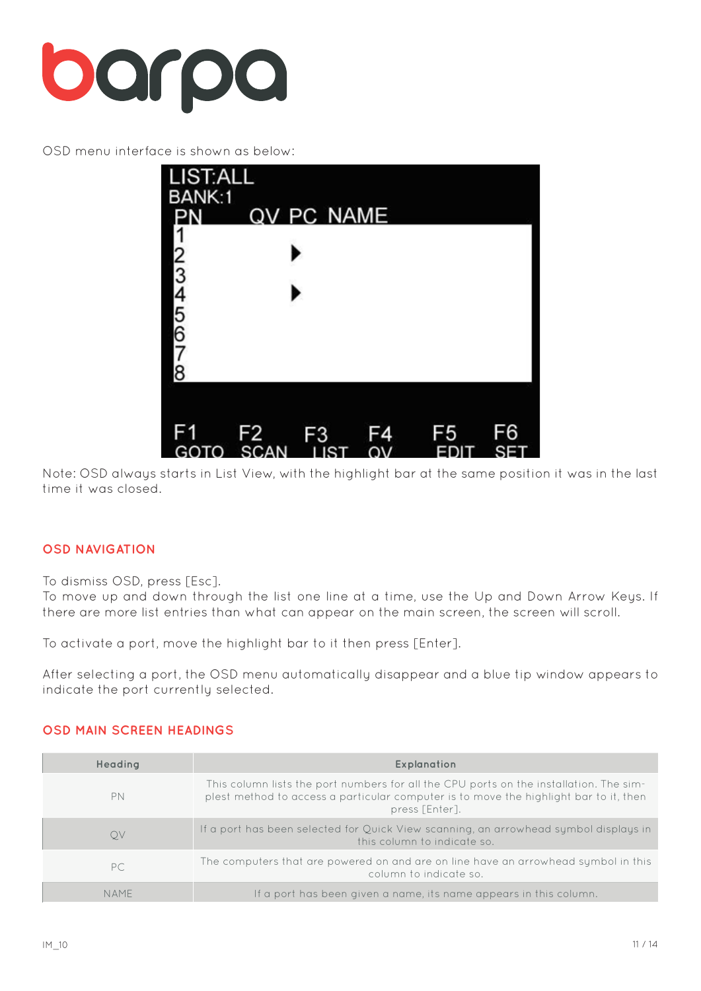

OSD menu interface is shown as below:



Note: OSD always starts in List View, with the highlight bar at the same position it was in the last time it was closed.

## **OSD NAVIGATION**

To dismiss OSD, press [Esc].

To move up and down through the list one line at a time, use the Up and Down Arrow Keys. If there are more list entries than what can appear on the main screen, the screen will scroll.

To activate a port, move the highlight bar to it then press [Enter].

After selecting a port, the OSD menu automatically disappear and a blue tip window appears to indicate the port currently selected.

## **OSD MAIN SCREEN HEADINGS**

| Headina     | <b>Explanation</b>                                                                                                                                                                                |
|-------------|---------------------------------------------------------------------------------------------------------------------------------------------------------------------------------------------------|
| PN          | This column lists the port numbers for all the CPU ports on the installation. The sim-<br>plest method to access a particular computer is to move the highlight bar to it, then<br>press [Enter]. |
| Q.V         | If a port has been selected for Quick View scanning, an arrowhead symbol displays in<br>this column to indicate so.                                                                               |
| PC          | The computers that are powered on and are on line have an arrowhead symbol in this<br>column to indicate so.                                                                                      |
| <b>NAMF</b> | If a port has been given a name, its name appears in this column.                                                                                                                                 |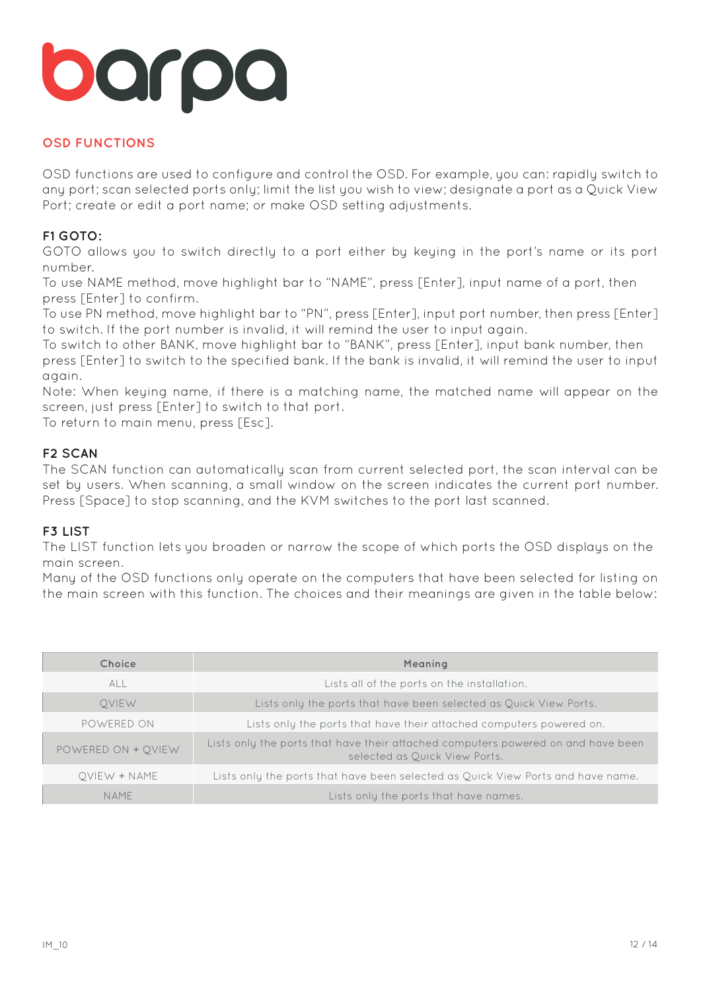# **OSD FUNCTIONS**

OSD functions are used to configure and control the OSD. For example, you can: rapidly switch to any port; scan selected ports only; limit the list you wish to view; designate a port as a Quick View Port; create or edit a port name; or make OSD setting adjustments.

# **F1 GOTO:**

GOTO allows you to switch directly to a port either by keying in the port's name or its port number.

To use NAME method, move highlight bar to "NAME", press [Enter], input name of a port, then press [Enter] to confirm.

To use PN method, move highlight bar to "PN", press [Enter], input port number, then press [Enter] to switch. If the port number is invalid, it will remind the user to input again.

To switch to other BANK, move highlight bar to "BANK", press [Enter], input bank number, then press [Enter] to switch to the specified bank. If the bank is invalid, it will remind the user to input again.

Note: When keying name, if there is a matching name, the matched name will appear on the screen, just press [Enter] to switch to that port.

To return to main menu, press [Esc].

## **F2 SCAN**

The SCAN function can automatically scan from current selected port, the scan interval can be set by users. When scanning, a small window on the screen indicates the current port number. Press [Space] to stop scanning, and the KVM switches to the port last scanned.

## **F3 LIST**

The LIST function lets you broaden or narrow the scope of which ports the OSD displays on the main screen.

Many of the OSD functions only operate on the computers that have been selected for listing on the main screen with this function. The choices and their meanings are given in the table below:

| Choice             | Meaning                                                                                                           |
|--------------------|-------------------------------------------------------------------------------------------------------------------|
| <b>ALL</b>         | Lists all of the ports on the installation.                                                                       |
| <b>OVIEW</b>       | Lists only the ports that have been selected as Quick View Ports.                                                 |
| POWERED ON         | Lists only the ports that have their attached computers powered on.                                               |
| POWERED ON + OVIEW | Lists only the ports that have their attached computers powered on and have been<br>selected as Quick View Ports. |
| OVIEW + NAME       | Lists only the ports that have been selected as Quick View Ports and have name.                                   |
| NAME               | Lists only the ports that have names.                                                                             |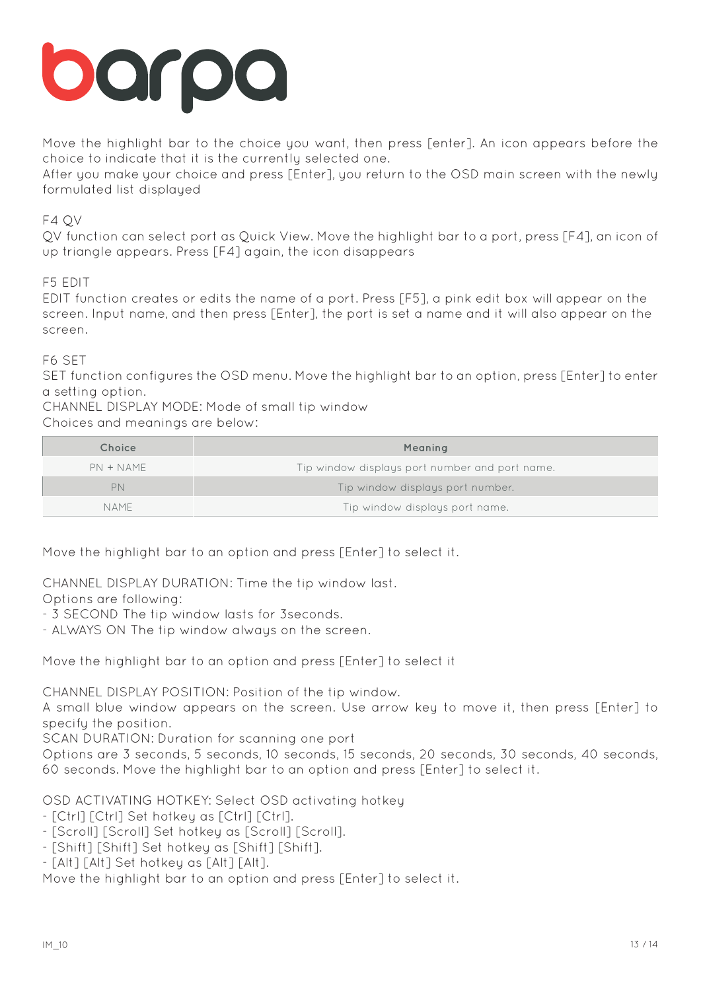

Move the highlight bar to the choice you want, then press [enter]. An icon appears before the choice to indicate that it is the currently selected one.

After you make your choice and press [Enter], you return to the OSD main screen with the newly formulated list displayed

## F4 QV

QV function can select port as Quick View. Move the highlight bar to a port, press [F4], an icon of up triangle appears. Press [F4] again, the icon disappears

## F5 EDIT

EDIT function creates or edits the name of a port. Press [F5], a pink edit box will appear on the screen. Input name, and then press [Enter], the port is set a name and it will also appear on the screen.

## F6 SET

SET function configures the OSD menu. Move the highlight bar to an option, press [Enter] to enter a setting option.

CHANNEL DISPLAY MODE: Mode of small tip window

## Choices and meanings are below:

| Choice      | Meaning                                        |
|-------------|------------------------------------------------|
| $PN + NAME$ | Tip window displays port number and port name. |
| PN          | Tip window displays port number.               |
| NAMF        | Tip window displays port name.                 |

Move the highlight bar to an option and press [Enter] to select it.

CHANNEL DISPLAY DURATION: Time the tip window last.

Options are following:

- 3 SECOND The tip window lasts for 3seconds.

- ALWAYS ON The tip window always on the screen.

Move the highlight bar to an option and press [Enter] to select it

CHANNEL DISPLAY POSITION: Position of the tip window.

A small blue window appears on the screen. Use arrow key to move it, then press [Enter] to specify the position.

SCAN DURATION: Duration for scanning one port

Options are 3 seconds, 5 seconds, 10 seconds, 15 seconds, 20 seconds, 30 seconds, 40 seconds, 60 seconds. Move the highlight bar to an option and press [Enter] to select it.

OSD ACTIVATING HOTKEY: Select OSD activating hotkey

- [Ctrl] [Ctrl] Set hotkey as [Ctrl] [Ctrl].

- [Scroll] [Scroll] Set hotkey as [Scroll] [Scroll].

- [Shift] [Shift] Set hotkey as [Shift] [Shift].

- [Alt] [Alt] Set hotkey as [Alt] [Alt].

Move the highlight bar to an option and press [Enter] to select it.